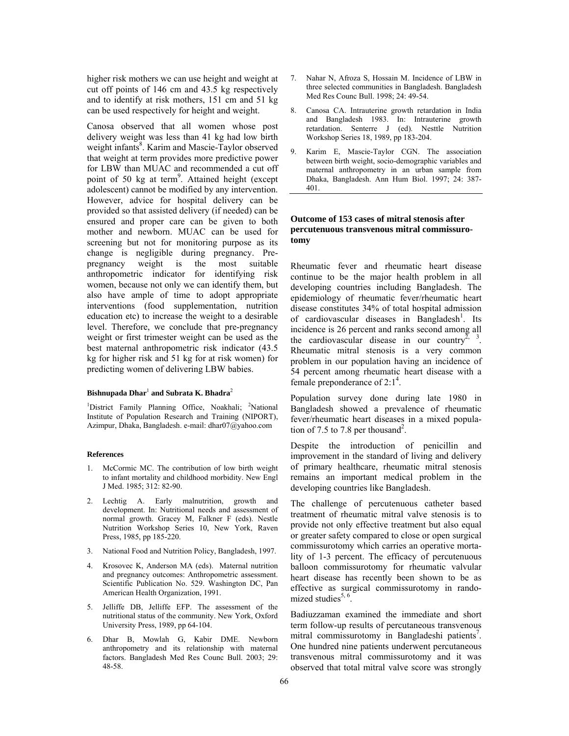higher risk mothers we can use height and weight at cut off points of 146 cm and 43.5 kg respectively and to identify at risk mothers, 151 cm and 51 kg can be used respectively for height and weight.

Canosa observed that all women whose post delivery weight was less than 41 kg had low birth weight infants<sup>8</sup>. Karim and Mascie-Taylor observed that weight at term provides more predictive power for LBW than MUAC and recommended a cut off point of 50 kg at term<sup>9</sup>. Attained height (except adolescent) cannot be modified by any intervention. However, advice for hospital delivery can be provided so that assisted delivery (if needed) can be ensured and proper care can be given to both mother and newborn. MUAC can be used for screening but not for monitoring purpose as its change is negligible during pregnancy. Prepregnancy weight is the most suitable anthropometric indicator for identifying risk women, because not only we can identify them, but also have ample of time to adopt appropriate interventions (food supplementation, nutrition education etc) to increase the weight to a desirable level. Therefore, we conclude that pre-pregnancy weight or first trimester weight can be used as the best maternal anthropometric risk indicator (43.5 kg for higher risk and 51 kg for at risk women) for predicting women of delivering LBW babies.

## **Bishnupada Dhar**<sup>1</sup>  **and Subrata K. Bhadra**<sup>2</sup>

<sup>1</sup>District Family Planning Office, Noakhali; <sup>2</sup>National Institute of Population Research and Training (NIPORT), Azimpur, Dhaka, Bangladesh. e-mail: dhar07@yahoo.com

## **References**

- 1. McCormic MC. The contribution of low birth weight to infant mortality and childhood morbidity. New Engl J Med. 1985; 312: 82-90.
- 2. Lechtig A. Early malnutrition, growth and development. In: Nutritional needs and assessment of normal growth. Gracey M, Falkner F (eds). Nestle Nutrition Workshop Series 10, New York, Raven Press, 1985, pp 185-220.
- 3. National Food and Nutrition Policy, Bangladesh, 1997.
- 4. Krosovec K, Anderson MA (eds). Maternal nutrition and pregnancy outcomes: Anthropometric assessment. Scientific Publication No. 529. Washington DC, Pan American Health Organization, 1991.
- 5. Jelliffe DB, Jelliffe EFP. The assessment of the nutritional status of the community. New York, Oxford University Press, 1989, pp 64-104.
- 6. Dhar B, Mowlah G, Kabir DME. Newborn anthropometry and its relationship with maternal factors. Bangladesh Med Res Counc Bull. 2003; 29: 48-58.
- 7. Nahar N, Afroza S, Hossain M. Incidence of LBW in three selected communities in Bangladesh. Bangladesh Med Res Counc Bull. 1998; 24: 49-54.
- Canosa CA. Intrauterine growth retardation in India and Bangladesh 1983. In: Intrauterine growth retardation. Senterre J (ed). Nesttle Nutrition Workshop Series 18, 1989, pp 183-204.
- 9. Karim E, Mascie-Taylor CGN. The association between birth weight, socio-demographic variables and maternal anthropometry in an urban sample from Dhaka, Bangladesh. Ann Hum Biol. 1997; 24: 387- 401.

# **Outcome of 153 cases of mitral stenosis after percutenuous transvenous mitral commissurotomy**

Rheumatic fever and rheumatic heart disease continue to be the major health problem in all developing countries including Bangladesh. The epidemiology of rheumatic fever/rheumatic heart disease constitutes 34% of total hospital admission of cardiovascular diseases in Bangladesh<sup>1</sup>. Its incidence is 26 percent and ranks second among all the cardiovascular disease in our country<sup>2, 3</sup>. Rheumatic mitral stenosis is a very common problem in our population having an incidence of 54 percent among rheumatic heart disease with a female preponderance of  $2:1<sup>4</sup>$ .

Population survey done during late 1980 in Bangladesh showed a prevalence of rheumatic fever/rheumatic heart diseases in a mixed population of 7.5 to 7.8 per thousand<sup>2</sup>.

Despite the introduction of penicillin and improvement in the standard of living and delivery of primary healthcare, rheumatic mitral stenosis remains an important medical problem in the developing countries like Bangladesh.

The challenge of percutenuous catheter based treatment of rheumatic mitral valve stenosis is to provide not only effective treatment but also equal or greater safety compared to close or open surgical commissurotomy which carries an operative mortality of 1-3 percent. The efficacy of percutenuous balloon commissurotomy for rheumatic valvular heart disease has recently been shown to be as effective as surgical commissurotomy in randomized studies $5, 6$ .

Badiuzzaman examined the immediate and short term follow-up results of percutaneous transvenous mitral commissurotomy in Bangladeshi patients<sup>7</sup>. One hundred nine patients underwent percutaneous transvenous mitral commissurotomy and it was observed that total mitral valve score was strongly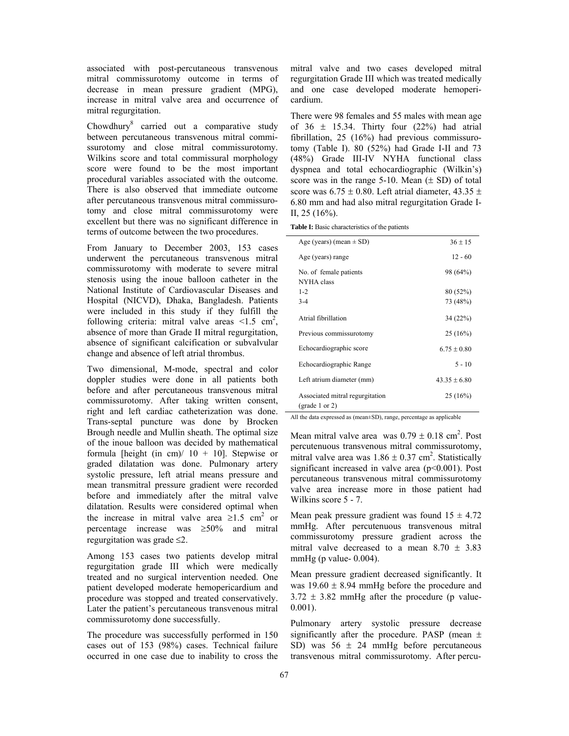associated with post-percutaneous transvenous mitral commissurotomy outcome in terms of decrease in mean pressure gradient (MPG), increase in mitral valve area and occurrence of mitral regurgitation.

Chowdhury<sup>8</sup> carried out a comparative study between percutaneous transvenous mitral commissurotomy and close mitral commissurotomy. Wilkins score and total commissural morphology score were found to be the most important procedural variables associated with the outcome. There is also observed that immediate outcome after percutaneous transvenous mitral commissurotomy and close mitral commissurotomy were excellent but there was no significant difference in terms of outcome between the two procedures.

From January to December 2003, 153 cases underwent the percutaneous transvenous mitral commissurotomy with moderate to severe mitral stenosis using the inoue balloon catheter in the National Institute of Cardiovascular Diseases and Hospital (NICVD), Dhaka, Bangladesh. Patients were included in this study if they fulfill the following criteria: mitral valve areas  $\leq 1.5$  cm<sup>2</sup>, absence of more than Grade II mitral regurgitation, absence of significant calcification or subvalvular change and absence of left atrial thrombus.

Two dimensional, M-mode, spectral and color doppler studies were done in all patients both before and after percutaneous transvenous mitral commissurotomy. After taking written consent, right and left cardiac catheterization was done. Trans-septal puncture was done by Brocken Brough needle and Mullin sheath. The optimal size of the inoue balloon was decided by mathematical formula [height (in cm)/  $10 + 10$ ]. Stepwise or graded dilatation was done. Pulmonary artery systolic pressure, left atrial means pressure and mean transmitral pressure gradient were recorded before and immediately after the mitral valve dilatation. Results were considered optimal when the increase in mitral valve area  $\geq 1.5$  cm<sup>2</sup> or percentage increase was ≥50% and mitral regurgitation was grade ≤2.

Among 153 cases two patients develop mitral regurgitation grade III which were medically treated and no surgical intervention needed. One patient developed moderate hemopericardium and procedure was stopped and treated conservatively. Later the patient's percutaneous transvenous mitral commissurotomy done successfully.

The procedure was successfully performed in 150 cases out of 153 (98%) cases. Technical failure occurred in one case due to inability to cross the mitral valve and two cases developed mitral regurgitation Grade III which was treated medically and one case developed moderate hemopericardium.

There were 98 females and 55 males with mean age of  $36 \pm 15.34$ . Thirty four (22%) had atrial fibrillation, 25 (16%) had previous commissurotomy (Table I). 80 (52%) had Grade I-II and 73 (48%) Grade III-IV NYHA functional class dyspnea and total echocardiographic (Wilkin's) score was in the range  $5-10$ . Mean  $(\pm SD)$  of total score was  $6.75 \pm 0.80$ . Left atrial diameter,  $43.35 \pm 0.80$ . 6.80 mm and had also mitral regurgitation Grade I-II, 25 (16%).

**Table I:** Basic characteristics of the patients

| Age (years) (mean $\pm$ SD)                       | $36 \pm 15$      |
|---------------------------------------------------|------------------|
| Age (years) range                                 | $12 - 60$        |
| No. of female patients<br>NYHA class              | 98 (64%)         |
| $1 - 2$                                           | 80 (52%)         |
| $3 - 4$                                           | 73 (48%)         |
| Atrial fibrillation                               | 34(22%)          |
| Previous commissurotomy                           | 25(16%)          |
| Echocardiographic score                           | $6.75 + 0.80$    |
| Echocardiographic Range                           | $5 - 10$         |
| Left atrium diameter (mm)                         | $43.35 \pm 6.80$ |
| Associated mitral regurgitation<br>(grade 1 or 2) | 25(16%)          |

All the data expressed as (mean±SD), range, percentage as applicable

Mean mitral valve area was  $0.79 \pm 0.18$  cm<sup>2</sup>. Post percutenuous transvenous mitral commissurotomy, mitral valve area was  $1.86 \pm 0.37$  cm<sup>2</sup>. Statistically significant increased in valve area  $(p<0.001)$ . Post percutaneous transvenous mitral commissurotomy valve area increase more in those patient had Wilkins score 5 - 7.

Mean peak pressure gradient was found  $15 \pm 4.72$ mmHg. After percutenuous transvenous mitral commissurotomy pressure gradient across the mitral valve decreased to a mean  $8.70 \pm 3.83$ mmHg (p value-  $0.004$ ).

Mean pressure gradient decreased significantly. It was  $19.60 \pm 8.94$  mmHg before the procedure and  $3.72 \pm 3.82$  mmHg after the procedure (p value-0.001).

Pulmonary artery systolic pressure decrease significantly after the procedure. PASP (mean  $\pm$ SD) was  $56 \pm 24$  mmHg before percutaneous transvenous mitral commissurotomy. After percu-